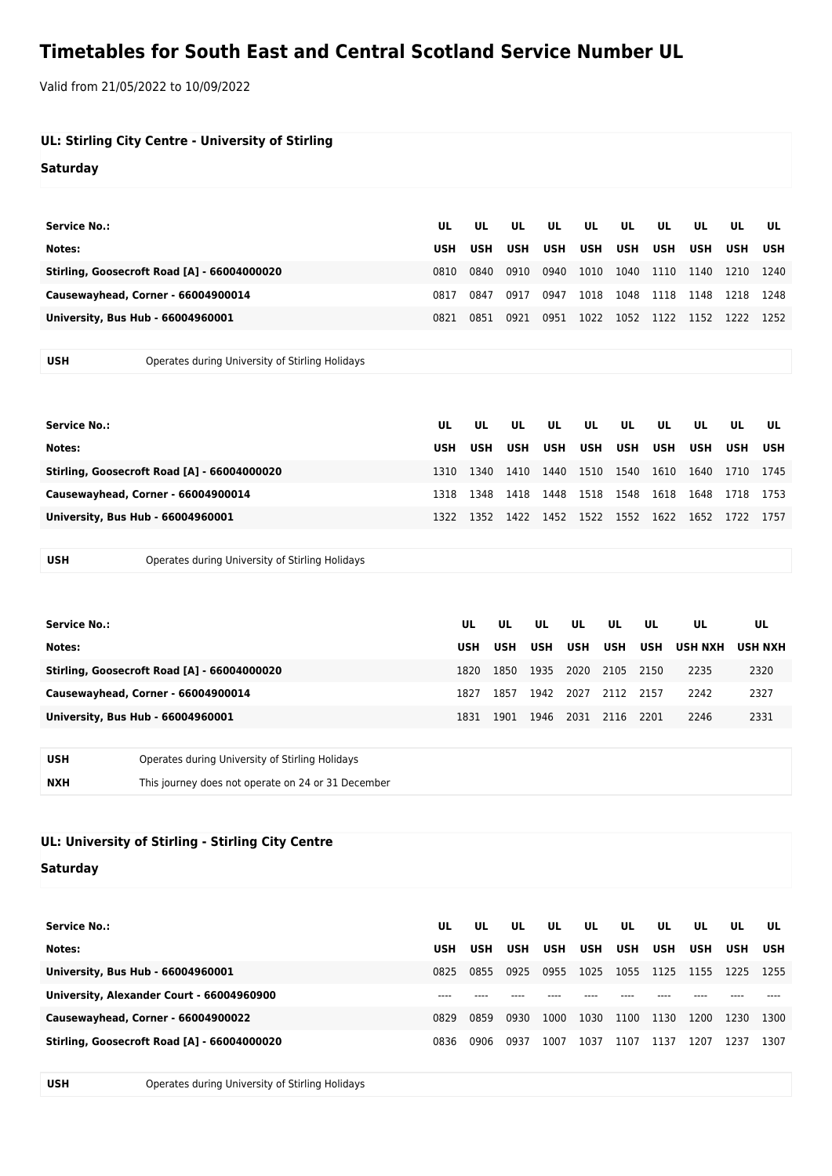## **Timetables for South East and Central Scotland Service Number UL**

Valid from 21/05/2022 to 10/09/2022

| UL: Stirling City Centre - University of Stirling<br><b>Saturday</b> |                  |                  |                  |           |                  |                  |                  |                  |           |                  |
|----------------------------------------------------------------------|------------------|------------------|------------------|-----------|------------------|------------------|------------------|------------------|-----------|------------------|
| <b>Service No.:</b><br>Notes:                                        | UL<br><b>USH</b> | UL<br><b>USH</b> | UL<br><b>USH</b> | UL<br>USH | UL<br><b>USH</b> | UL<br><b>USH</b> | UL<br><b>USH</b> | UL<br><b>USH</b> | UL<br>USH | UL<br><b>USH</b> |
| Stirling, Goosecroft Road [A] - 66004000020                          | 0810             | 0840             | 0910             | 0940      | 1010             | 1040             | 1110             | 1140             | 1210      | 1240             |
| Causewayhead, Corner - 66004900014                                   | 0817             | 0847             | 0917             | 0947      | 1018             | 1048             | 1118             | 1148             | 1218      | 1248             |
| University, Bus Hub - 66004960001                                    | 0821             | 0851             | 0921             | 0951      |                  | 1022 1052        | 1122 1152        |                  | 1222      | 1252             |
|                                                                      |                  |                  |                  |           |                  |                  |                  |                  |           |                  |

**USH** Operates during University of Stirling Holidays

| Service No.:                                | UL   | UL   | UL   | UL   | UL          | UL | UL   | UL        | UL   | UL   |
|---------------------------------------------|------|------|------|------|-------------|----|------|-----------|------|------|
| Notes:                                      | USH  | USH  | USH  |      | USH USH USH |    | USH  | USH       | USH  | USH  |
| Stirling, Goosecroft Road [A] - 66004000020 | 1310 | 1340 | 1410 | 1440 | 1510 1540   |    | 1610 | 1640      | 1710 | 1745 |
| Causewayhead, Corner - 66004900014          | 1318 | 1348 | 1418 | 1448 | 1518 1548   |    | 1618 | 1648 1718 |      | 1753 |
| University, Bus Hub - 66004960001           | 1322 | 1352 | 1422 | 1452 | 1522 1552   |    | 1622 | 1652      | 1722 | 1757 |
|                                             |      |      |      |      |             |    |      |           |      |      |

**USH** Operates during University of Stirling Holidays

| <b>Service No.:</b> |                                                    | UL         | UL         | UL.        | UL         | UL         | UL         | UL             | UL             |
|---------------------|----------------------------------------------------|------------|------------|------------|------------|------------|------------|----------------|----------------|
| Notes:              |                                                    | <b>USH</b> | <b>USH</b> | <b>USH</b> | <b>USH</b> | <b>USH</b> | <b>USH</b> | <b>USH NXH</b> | <b>USH NXH</b> |
|                     | Stirling, Goosecroft Road [A] - 66004000020        | 1820       | 1850       | 1935       | 2020       | 2105       | 2150       | 2235           | 2320           |
|                     | Causewayhead, Corner - 66004900014                 | 1827       | 1857       | 1942       | 2027       | 2112       | 2157       | 2242           | 2327           |
|                     | <b>University, Bus Hub - 66004960001</b>           | 1831       | 1901       | 1946       | 2031       | 2116       | - 2201     | 2246           | 2331           |
|                     |                                                    |            |            |            |            |            |            |                |                |
| <b>USH</b>          | Operates during University of Stirling Holidays    |            |            |            |            |            |            |                |                |
| <b>NXH</b>          | This journey does not operate on 24 or 31 December |            |            |            |            |            |            |                |                |

## **UL: University of Stirling - Stirling City Centre**

**Saturday**

| Service No.:                                | UL         | UL.  | UL   | UL         | UL   | UL         | UL.        | UL         | UL.  | UL   |
|---------------------------------------------|------------|------|------|------------|------|------------|------------|------------|------|------|
| Notes:                                      | <b>USH</b> | USH  | USH  | <b>USH</b> | USH  | <b>USH</b> | <b>USH</b> | <b>USH</b> | USH  | USH  |
| University, Bus Hub - 66004960001           | 0825       | 0855 | 0925 | 0955       | 1025 | 1055       | 1125       | 1155       | 1225 | 1255 |
| University, Alexander Court - 66004960900   |            |      |      |            |      |            |            |            |      |      |
| Causewayhead, Corner - 66004900022          | 0829       | 0859 | 0930 | 1000       | 1030 | 1100       | 1130       | 1200       | 1230 | 1300 |
| Stirling, Goosecroft Road [A] - 66004000020 | 0836       | 0906 | 0937 | 1007       | 1037 | 1107       | 1137       | 1207       | 1237 | 1307 |

**USH** Operates during University of Stirling Holidays